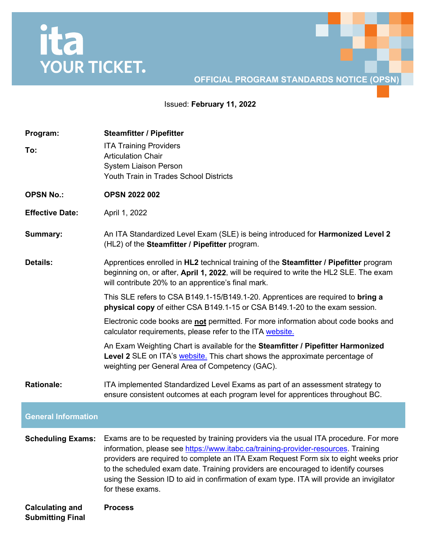## ita<br>YOUR TICKET.

## **OFFICIAL PROGRAM STANDARDS NOTICE (OPSN)**

Issued: **February 11, 2022**

| Program:<br>To:                                   | <b>Steamfitter / Pipefitter</b><br><b>ITA Training Providers</b><br><b>Articulation Chair</b><br><b>System Liaison Person</b><br>Youth Train in Trades School Districts                                                                                                                                                                                                                                                                                                                            |
|---------------------------------------------------|----------------------------------------------------------------------------------------------------------------------------------------------------------------------------------------------------------------------------------------------------------------------------------------------------------------------------------------------------------------------------------------------------------------------------------------------------------------------------------------------------|
| <b>OPSN No.:</b>                                  | <b>OPSN 2022 002</b>                                                                                                                                                                                                                                                                                                                                                                                                                                                                               |
| <b>Effective Date:</b>                            | April 1, 2022                                                                                                                                                                                                                                                                                                                                                                                                                                                                                      |
| <b>Summary:</b>                                   | An ITA Standardized Level Exam (SLE) is being introduced for Harmonized Level 2<br>(HL2) of the Steamfitter / Pipefitter program.                                                                                                                                                                                                                                                                                                                                                                  |
| <b>Details:</b>                                   | Apprentices enrolled in HL2 technical training of the Steamfitter / Pipefitter program<br>beginning on, or after, April 1, 2022, will be required to write the HL2 SLE. The exam<br>will contribute 20% to an apprentice's final mark.                                                                                                                                                                                                                                                             |
|                                                   | This SLE refers to CSA B149.1-15/B149.1-20. Apprentices are required to bring a<br>physical copy of either CSA B149.1-15 or CSA B149.1-20 to the exam session.                                                                                                                                                                                                                                                                                                                                     |
|                                                   | Electronic code books are not permitted. For more information about code books and<br>calculator requirements, please refer to the ITA website.                                                                                                                                                                                                                                                                                                                                                    |
|                                                   | An Exam Weighting Chart is available for the Steamfitter / Pipefitter Harmonized<br>Level 2 SLE on ITA's website. This chart shows the approximate percentage of<br>weighting per General Area of Competency (GAC).                                                                                                                                                                                                                                                                                |
| <b>Rationale:</b>                                 | ITA implemented Standardized Level Exams as part of an assessment strategy to<br>ensure consistent outcomes at each program level for apprentices throughout BC.                                                                                                                                                                                                                                                                                                                                   |
| <b>General Information</b>                        |                                                                                                                                                                                                                                                                                                                                                                                                                                                                                                    |
|                                                   | <b>Scheduling Exams:</b> Exams are to be requested by training providers via the usual ITA procedure. For more<br>information, please see https://www.itabc.ca/training-provider-resources. Training<br>providers are required to complete an ITA Exam Request Form six to eight weeks prior<br>to the scheduled exam date. Training providers are encouraged to identify courses<br>using the Session ID to aid in confirmation of exam type. ITA will provide an invigilator<br>for these exams. |
| <b>Calculating and</b><br><b>Submitting Final</b> | <b>Process</b>                                                                                                                                                                                                                                                                                                                                                                                                                                                                                     |